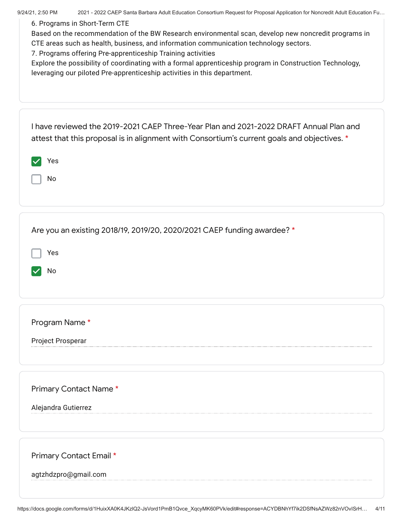| 2021 - 2022 CAEP Santa Barbara Adult Education Consortium Request for Proposal Application for Noncredit Adult Education Fu<br>9/24/21, 2:50 PM |  |
|-------------------------------------------------------------------------------------------------------------------------------------------------|--|
| 6. Programs in Short-Term CTE                                                                                                                   |  |
| Based on the recommendation of the BW Research environmental scan, develop new noncredit programs in                                            |  |
| CTE areas such as health, business, and information communication technology sectors.                                                           |  |
| 7. Programs offering Pre-apprenticeship Training activities                                                                                     |  |
| Explore the possibility of coordinating with a formal apprenticeship program in Construction Technology,                                        |  |
| leveraging our piloted Pre-apprenticeship activities in this department.                                                                        |  |
|                                                                                                                                                 |  |
|                                                                                                                                                 |  |
|                                                                                                                                                 |  |
|                                                                                                                                                 |  |
|                                                                                                                                                 |  |
| I have reviewed the 2019-2021 CAEP Three-Year Plan and 2021-2022 DRAFT Annual Plan and                                                          |  |
| attest that this proposal is in alignment with Consortium's current goals and objectives. *                                                     |  |
|                                                                                                                                                 |  |
| Yes                                                                                                                                             |  |
|                                                                                                                                                 |  |
| No                                                                                                                                              |  |
|                                                                                                                                                 |  |
|                                                                                                                                                 |  |
|                                                                                                                                                 |  |
|                                                                                                                                                 |  |
| Are you an existing 2018/19, 2019/20, 2020/2021 CAEP funding awardee? *                                                                         |  |
|                                                                                                                                                 |  |
| Yes                                                                                                                                             |  |
|                                                                                                                                                 |  |
| No                                                                                                                                              |  |
|                                                                                                                                                 |  |
|                                                                                                                                                 |  |
|                                                                                                                                                 |  |
|                                                                                                                                                 |  |
| Program Name*                                                                                                                                   |  |
|                                                                                                                                                 |  |
| Project Prosperar                                                                                                                               |  |
|                                                                                                                                                 |  |
|                                                                                                                                                 |  |
|                                                                                                                                                 |  |
| Primary Contact Name*                                                                                                                           |  |
|                                                                                                                                                 |  |
| Alejandra Gutierrez                                                                                                                             |  |
|                                                                                                                                                 |  |
|                                                                                                                                                 |  |
|                                                                                                                                                 |  |
|                                                                                                                                                 |  |
| Primary Contact Email *                                                                                                                         |  |
|                                                                                                                                                 |  |
| agtzhdzpro@gmail.com                                                                                                                            |  |
|                                                                                                                                                 |  |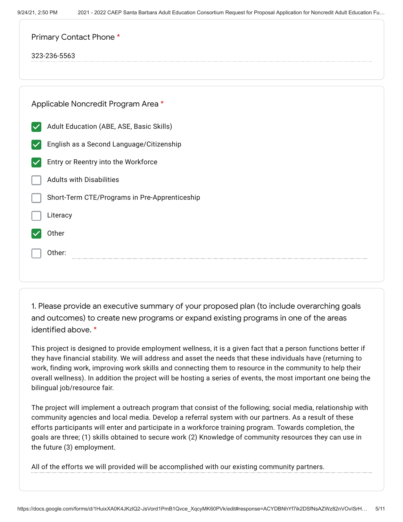| Primary Contact Phone *                                          |
|------------------------------------------------------------------|
| 323-236-5563                                                     |
|                                                                  |
| Applicable Noncredit Program Area *                              |
| Adult Education (ABE, ASE, Basic Skills)<br>$\blacktriangledown$ |
| English as a Second Language/Citizenship<br>$\blacktriangledown$ |
| Entry or Reentry into the Workforce                              |
| <b>Adults with Disabilities</b>                                  |
| Short-Term CTE/Programs in Pre-Apprenticeship                    |
| Literacy                                                         |
| Other                                                            |
| Other:                                                           |
|                                                                  |

1. Please provide an executive summary of your proposed plan (to include overarching goals and outcomes) to create new programs or expand existing programs in one of the areas identified above. \*

This project is designed to provide employment wellness, it is a given fact that a person functions better if they have financial stability. We will address and asset the needs that these individuals have (returning to work, finding work, improving work skills and connecting them to resource in the community to help their overall wellness). In addition the project will be hosting a series of events, the most important one being the bilingual job/resource fair.

The project will implement a outreach program that consist of the following; social media, relationship with community agencies and local media. Develop a referral system with our partners. As a result of these efforts participants will enter and participate in a workforce training program. Towards completion, the goals are three; (1) skills obtained to secure work (2) Knowledge of community resources they can use in the future (3) employment.

All of the efforts we will provided will be accomplished with our existing community partners.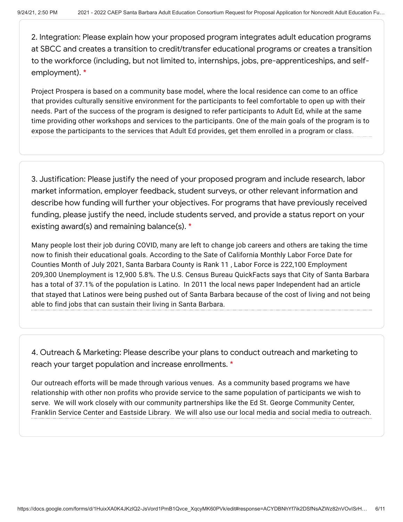2. Integration: Please explain how your proposed program integrates adult education programs at SBCC and creates a transition to credit/transfer educational programs or creates a transition to the workforce (including, but not limited to, internships, jobs, pre-apprenticeships, and selfemployment). \*

Project Prospera is based on a community base model, where the local residence can come to an office that provides culturally sensitive environment for the participants to feel comfortable to open up with their needs. Part of the success of the program is designed to refer participants to Adult Ed, while at the same time providing other workshops and services to the participants. One of the main goals of the program is to expose the participants to the services that Adult Ed provides, get them enrolled in a program or class.

3. Justification: Please justify the need of your proposed program and include research, labor market information, employer feedback, student surveys, or other relevant information and describe how funding will further your objectives. For programs that have previously received funding, please justify the need, include students served, and provide a status report on your existing award(s) and remaining balance(s). \*

Many people lost their job during COVID, many are left to change job careers and others are taking the time now to finish their educational goals. According to the Sate of California Monthly Labor Force Date for Counties Month of July 2021, Santa Barbara County is Rank 11 , Labor Force is 222,100 Employment 209,300 Unemployment is 12,900 5.8%. The U.S. Census Bureau QuickFacts says that City of Santa Barbara has a total of 37.1% of the population is Latino. In 2011 the local news paper Independent had an article that stayed that Latinos were being pushed out of Santa Barbara because of the cost of living and not being able to find jobs that can sustain their living in Santa Barbara.

4. Outreach & Marketing: Please describe your plans to conduct outreach and marketing to reach your target population and increase enrollments. \*

Our outreach efforts will be made through various venues. As a community based programs we have relationship with other non profits who provide service to the same population of participants we wish to serve. We will work closely with our community partnerships like the Ed St. George Community Center, Franklin Service Center and Eastside Library. We will also use our local media and social media to outreach.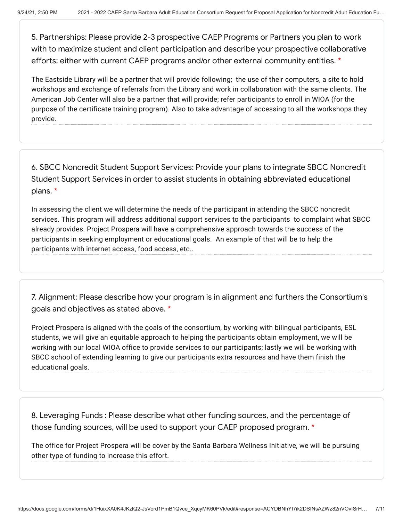5. Partnerships: Please provide 2-3 prospective CAEP Programs or Partners you plan to work with to maximize student and client participation and describe your prospective collaborative efforts; either with current CAEP programs and/or other external community entities. \*

The Eastside Library will be a partner that will provide following; the use of their computers, a site to hold workshops and exchange of referrals from the Library and work in collaboration with the same clients. The American Job Center will also be a partner that will provide; refer participants to enroll in WIOA (for the purpose of the certificate training program). Also to take advantage of accessing to all the workshops they provide.

6. SBCC Noncredit Student Support Services: Provide your plans to integrate SBCC Noncredit Student Support Services in order to assist students in obtaining abbreviated educational plans. \*

In assessing the client we will determine the needs of the participant in attending the SBCC noncredit services. This program will address additional support services to the participants to complaint what SBCC already provides. Project Prospera will have a comprehensive approach towards the success of the participants in seeking employment or educational goals. An example of that will be to help the participants with internet access, food access, etc..

7. Alignment: Please describe how your program is in alignment and furthers the Consortium's goals and objectives as stated above. \*

Project Prospera is aligned with the goals of the consortium, by working with bilingual participants, ESL students, we will give an equitable approach to helping the participants obtain employment, we will be working with our local WIOA office to provide services to our participants; lastly we will be working with SBCC school of extending learning to give our participants extra resources and have them finish the educational goals.

8. Leveraging Funds : Please describe what other funding sources, and the percentage of those funding sources, will be used to support your CAEP proposed program. \*

The office for Project Prospera will be cover by the Santa Barbara Wellness Initiative, we will be pursuing other type of funding to increase this effort.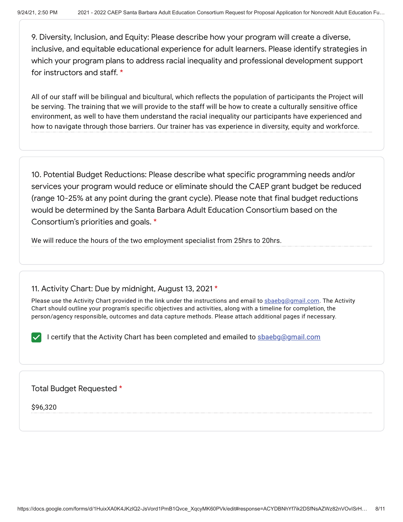9. Diversity, Inclusion, and Equity: Please describe how your program will create a diverse, inclusive, and equitable educational experience for adult learners. Please identify strategies in which your program plans to address racial inequality and professional development support for instructors and staff. \*

All of our staff will be bilingual and bicultural, which reflects the population of participants the Project will be serving. The training that we will provide to the staff will be how to create a culturally sensitive office environment, as well to have them understand the racial inequality our participants have experienced and how to navigate through those barriers. Our trainer has vas experience in diversity, equity and workforce.

10. Potential Budget Reductions: Please describe what specific programming needs and/or services your program would reduce or eliminate should the CAEP grant budget be reduced (range 10-25% at any point during the grant cycle). Please note that final budget reductions would be determined by the Santa Barbara Adult Education Consortium based on the Consortium's priorities and goals. \*

We will reduce the hours of the two employment specialist from 25hrs to 20hrs.

# 11. Activity Chart: Due by midnight, August 13, 2021 \*

Please use the Activity Chart provided in the link under the instructions and email to sbaebg@gmail.com. The Activity Chart should outline your program's specific objectives and activities, along with a timeline for completion, the person/agency responsible, outcomes and data capture methods. Please attach additional pages if necessary.

I certify that the Activity Chart has been completed and emailed to shaebg@gmail.com

### Total Budget Requested \*

\$96,320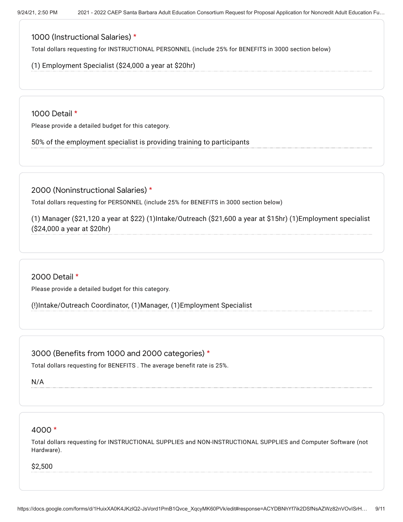## 1000 (Instructional Salaries) \*

Total dollars requesting for INSTRUCTIONAL PERSONNEL (include 25% for BENEFITS in 3000 section below)

(1) Employment Specialist (\$24,000 a year at \$20hr)

1000 Detail \*

Please provide a detailed budget for this category.

50% of the employment specialist is providing training to participants

2000 (Noninstructional Salaries) \*

Total dollars requesting for PERSONNEL (include 25% for BENEFITS in 3000 section below)

(1) Manager (\$21,120 a year at \$22) (1)Intake/Outreach (\$21,600 a year at \$15hr) (1)Employment specialist (\$24,000 a year at \$20hr)

2000 Detail \*

Please provide a detailed budget for this category.

(!)Intake/Outreach Coordinator, (1)Manager, (1)Employment Specialist

3000 (Benefits from 1000 and 2000 categories) \*

Total dollars requesting for BENEFITS . The average benefit rate is 25%.

N/A

### 4000 \*

Total dollars requesting for INSTRUCTIONAL SUPPLIES and NON-INSTRUCTIONAL SUPPLIES and Computer Software (not Hardware).

\$2,500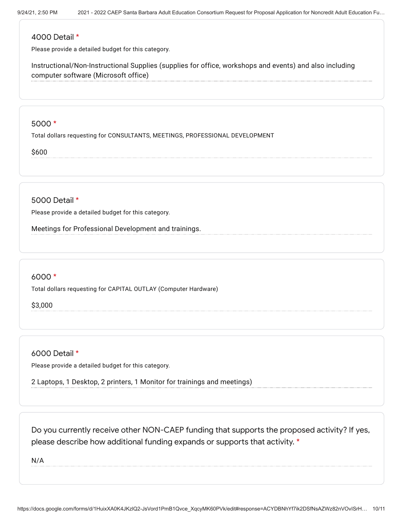#### 4000 Detail \*

Please provide a detailed budget for this category.

Instructional/Non-Instructional Supplies (supplies for office, workshops and events) and also including computer software (Microsoft office)

#### 5000 \*

Total dollars requesting for CONSULTANTS, MEETINGS, PROFESSIONAL DEVELOPMENT

\$600

5000 Detail \*

Please provide a detailed budget for this category.

Meetings for Professional Development and trainings.

### 6000 \*

Total dollars requesting for CAPITAL OUTLAY (Computer Hardware)

\$3,000

6000 Detail \*

Please provide a detailed budget for this category.

2 Laptops, 1 Desktop, 2 printers, 1 Monitor for trainings and meetings)

Do you currently receive other NON-CAEP funding that supports the proposed activity? If yes, please describe how additional funding expands or supports that activity. \*

N/A